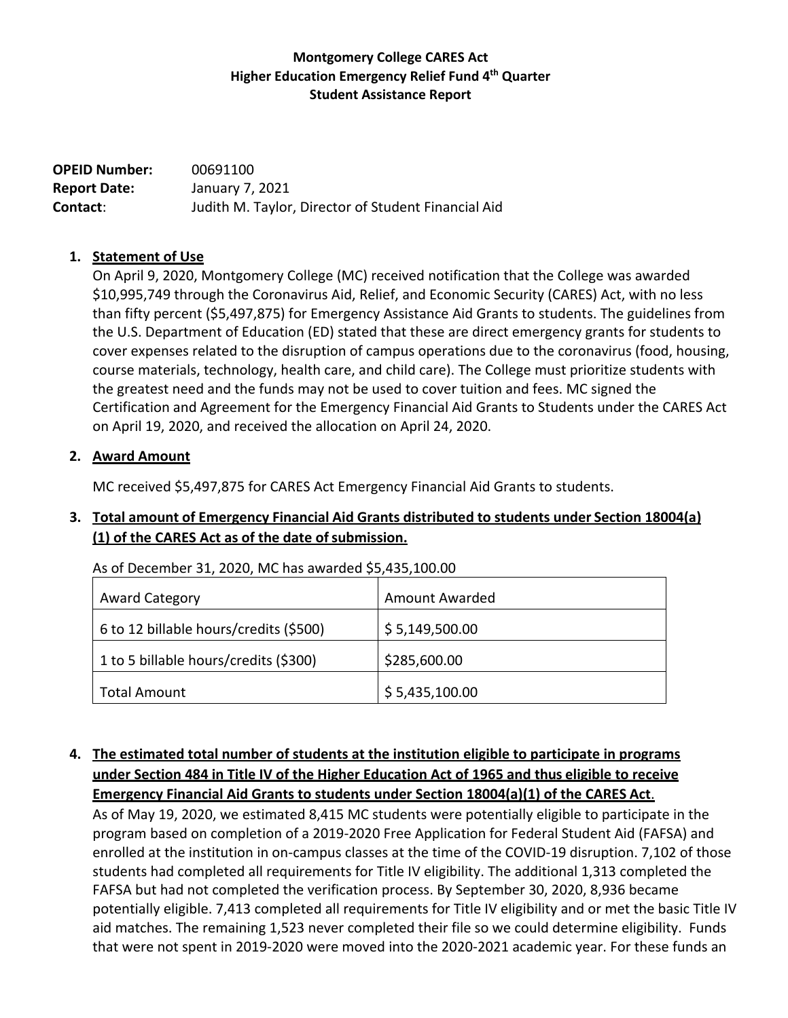### **Montgomery College CARES Act Higher Education Emergency Relief Fund 4 th Quarter Student Assistance Report**

**OPEID Number:** 00691100 **Report Date:** January 7, 2021 **Contact**: Judith M. Taylor, Director of Student Financial Aid

### **1. Statement of Use**

On April 9, 2020, Montgomery College (MC) received notification that the College was awarded \$10,995,749 through the Coronavirus Aid, Relief, and Economic Security (CARES) Act, with no less than fifty percent (\$5,497,875) for Emergency Assistance Aid Grants to students. The guidelines from the U.S. Department of Education (ED) stated that these are direct emergency grants for students to cover expenses related to the disruption of campus operations due to the coronavirus (food, housing, course materials, technology, health care, and child care). The College must prioritize students with the greatest need and the funds may not be used to cover tuition and fees. MC signed the Certification and Agreement for the Emergency Financial Aid Grants to Students under the CARES Act on April 19, 2020, and received the allocation on April 24, 2020.

### **2. Award Amount**

MC received \$5,497,875 for CARES Act Emergency Financial Aid Grants to students.

### **3. Total amount of Emergency Financial Aid Grants distributed to students under Section 18004(a) (1) of the CARES Act as of the date ofsubmission.**

As of December 31, 2020, MC has awarded \$5,435,100.00

| <b>Award Category</b>                  | Amount Awarded |
|----------------------------------------|----------------|
| 6 to 12 billable hours/credits (\$500) | \$5,149,500.00 |
| 1 to 5 billable hours/credits (\$300)  | \$285,600.00   |
| <b>Total Amount</b>                    | \$5,435,100.00 |

# **4. The estimated total number of students at the institution eligible to participate in programs under Section 484 in Title IV of the Higher Education Act of 1965 and thus eligible to receive Emergency Financial Aid Grants to students under Section 18004(a)(1) of the CARES Act**.

As of May 19, 2020, we estimated 8,415 MC students were potentially eligible to participate in the program based on completion of a 2019-2020 Free Application for Federal Student Aid (FAFSA) and enrolled at the institution in on-campus classes at the time of the COVID-19 disruption. 7,102 of those students had completed all requirements for Title IV eligibility. The additional 1,313 completed the FAFSA but had not completed the verification process. By September 30, 2020, 8,936 became potentially eligible. 7,413 completed all requirements for Title IV eligibility and or met the basic Title IV aid matches. The remaining 1,523 never completed their file so we could determine eligibility. Funds that were not spent in 2019-2020 were moved into the 2020-2021 academic year. For these funds an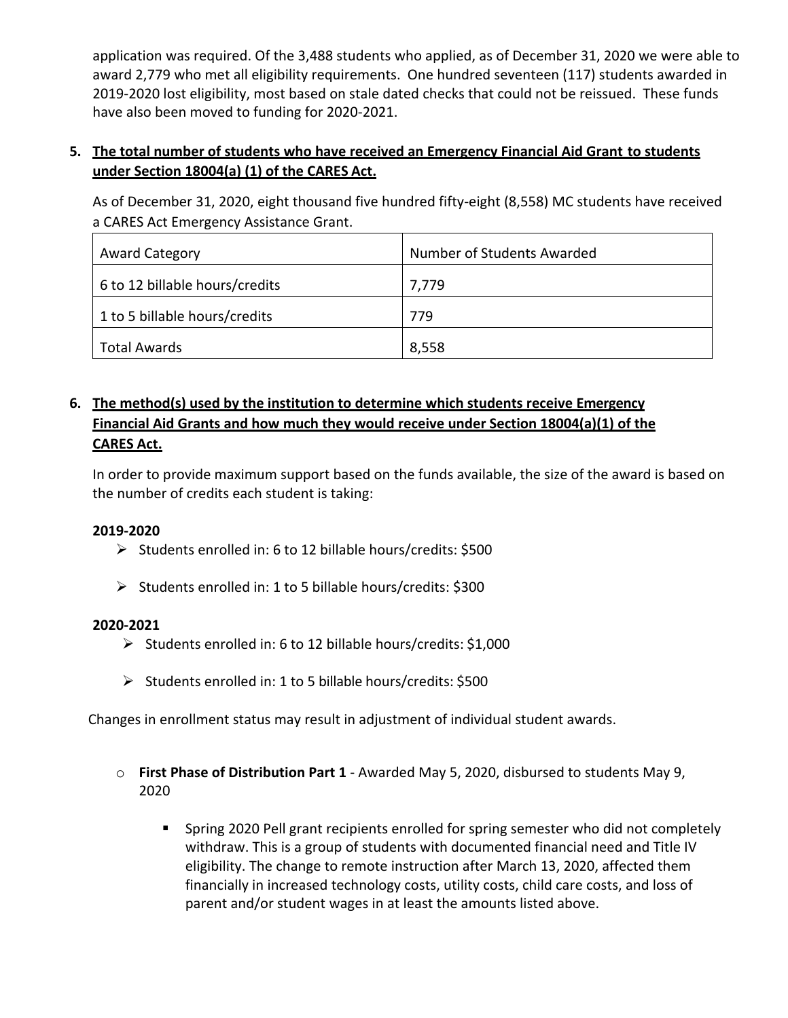application was required. Of the 3,488 students who applied, as of December 31, 2020 we were able to award 2,779 who met all eligibility requirements. One hundred seventeen (117) students awarded in 2019-2020 lost eligibility, most based on stale dated checks that could not be reissued. These funds have also been moved to funding for 2020-2021.

# **5. The total number of students who have received an Emergency Financial Aid Grant to students under Section 18004(a) (1) of the CARES Act.**

As of December 31, 2020, eight thousand five hundred fifty-eight (8,558) MC students have received a CARES Act Emergency Assistance Grant.

| <b>Award Category</b>          | Number of Students Awarded |
|--------------------------------|----------------------------|
| 6 to 12 billable hours/credits | 7,779                      |
| 1 to 5 billable hours/credits  | 779                        |
| Total Awards                   | 8,558                      |

# **6. The method(s) used by the institution to determine which students receive Emergency Financial Aid Grants and how much they would receive under Section 18004(a)(1) of the CARES Act.**

In order to provide maximum support based on the funds available, the size of the award is based on the number of credits each student is taking:

### **2019-2020**

- ➢ Students enrolled in: 6 to 12 billable hours/credits: \$500
- ➢ Students enrolled in: 1 to 5 billable hours/credits: \$300

### **2020-2021**

- ➢ Students enrolled in: 6 to 12 billable hours/credits: \$1,000
- ➢ Students enrolled in: 1 to 5 billable hours/credits: \$500

Changes in enrollment status may result in adjustment of individual student awards.

- o **First Phase of Distribution Part 1**  Awarded May 5, 2020, disbursed to students May 9, 2020
	- **EX Spring 2020 Pell grant recipients enrolled for spring semester who did not completely** withdraw. This is a group of students with documented financial need and Title IV eligibility. The change to remote instruction after March 13, 2020, affected them financially in increased technology costs, utility costs, child care costs, and loss of parent and/or student wages in at least the amounts listed above.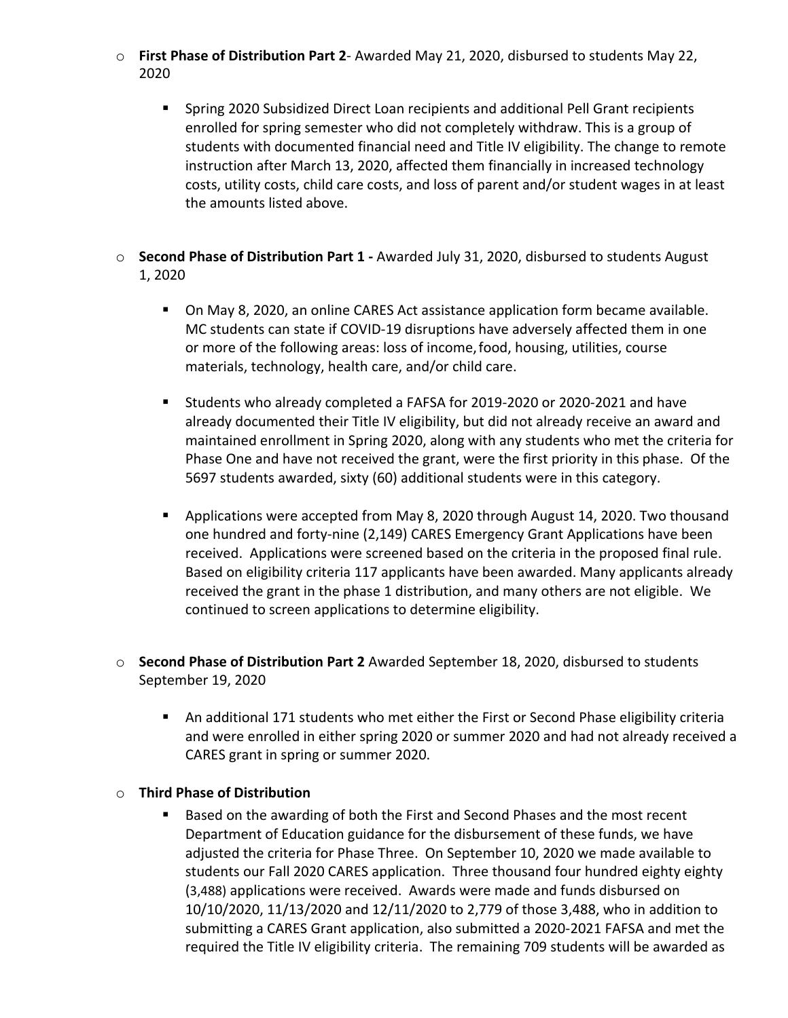- o **First Phase of Distribution Part 2** Awarded May 21, 2020, disbursed to students May 22, 2020
	- Spring 2020 Subsidized Direct Loan recipients and additional Pell Grant recipients enrolled for spring semester who did not completely withdraw. This is a group of students with documented financial need and Title IV eligibility. The change to remote instruction after March 13, 2020, affected them financially in increased technology costs, utility costs, child care costs, and loss of parent and/or student wages in at least the amounts listed above.
- o **Second Phase of Distribution Part 1 -** Awarded July 31, 2020, disbursed to students August 1, 2020
	- On May 8, 2020, an online CARES Act assistance application form became available. MC students can state if COVID-19 disruptions have adversely affected them in one or more of the following areas: loss of income,food, housing, utilities, course materials, technology, health care, and/or child care.
	- Students who already completed a FAFSA for 2019-2020 or 2020-2021 and have already documented their Title IV eligibility, but did not already receive an award and maintained enrollment in Spring 2020, along with any students who met the criteria for Phase One and have not received the grant, were the first priority in this phase. Of the 5697 students awarded, sixty (60) additional students were in this category.
	- Applications were accepted from May 8, 2020 through August 14, 2020. Two thousand one hundred and forty-nine (2,149) CARES Emergency Grant Applications have been received. Applications were screened based on the criteria in the proposed final rule. Based on eligibility criteria 117 applicants have been awarded. Many applicants already received the grant in the phase 1 distribution, and many others are not eligible. We continued to screen applications to determine eligibility.
- o **Second Phase of Distribution Part 2** Awarded September 18, 2020, disbursed to students September 19, 2020
	- An additional 171 students who met either the First or Second Phase eligibility criteria and were enrolled in either spring 2020 or summer 2020 and had not already received a CARES grant in spring or summer 2020.

#### o **Third Phase of Distribution**

■ Based on the awarding of both the First and Second Phases and the most recent Department of Education guidance for the disbursement of these funds, we have adjusted the criteria for Phase Three. On September 10, 2020 we made available to students our Fall 2020 CARES application. Three thousand four hundred eighty eighty (3,488) applications were received. Awards were made and funds disbursed on 10/10/2020, 11/13/2020 and 12/11/2020 to 2,779 of those 3,488, who in addition to submitting a CARES Grant application, also submitted a 2020-2021 FAFSA and met the required the Title IV eligibility criteria. The remaining 709 students will be awarded as